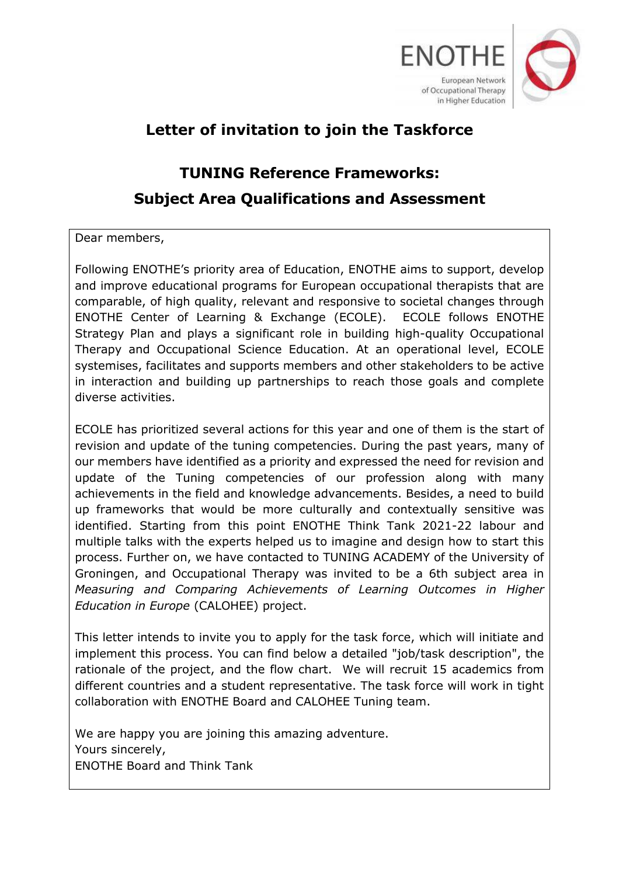

# **Letter of invitation to join the Taskforce**

# **TUNING Reference Frameworks: Subject Area Qualifications and Assessment**

Dear members,

Following ENOTHE's priority area of Education, ENOTHE aims to support, develop and improve educational programs for European occupational therapists that are comparable, of high quality, relevant and responsive to societal changes through ENOTHE Center of Learning & Exchange (ECOLE). ECOLE follows ENOTHE Strategy Plan and plays a significant role in building high-quality Occupational Therapy and Occupational Science Education. At an operational level, ECOLE systemises, facilitates and supports members and other stakeholders to be active in interaction and building up partnerships to reach those goals and complete diverse activities.

ECOLE has prioritized several actions for this year and one of them is the start of revision and update of the tuning competencies. During the past years, many of our members have identified as a priority and expressed the need for revision and update of the Tuning competencies of our profession along with many achievements in the field and knowledge advancements. Besides, a need to build up frameworks that would be more culturally and contextually sensitive was identified. Starting from this point ENOTHE Think Tank 2021-22 labour and multiple talks with the experts helped us to imagine and design how to start this process. Further on, we have contacted to TUNING ACADEMY of the University of Groningen, and Occupational Therapy was invited to be a 6th subject area in *Measuring and Comparing Achievements of Learning Outcomes in Higher Education in Europe* (CALOHEE) project.

This letter intends to invite you to apply for the task force, which will initiate and implement this process. You can find below a detailed "job/task description", the rationale of the project, and the flow chart. We will recruit 15 academics from different countries and a student representative. The task force will work in tight collaboration with ENOTHE Board and CALOHEE Tuning team.

We are happy you are joining this amazing adventure. Yours sincerely, ENOTHE Board and Think Tank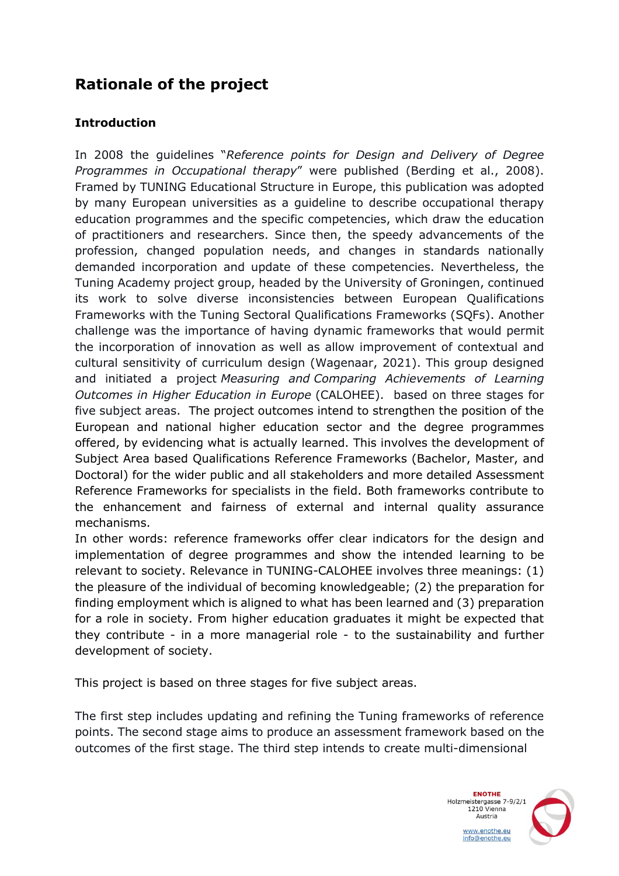### **Rationale of the project**

#### **Introduction**

In 2008 the guidelines "*Reference points for Design and Delivery of Degree Programmes in Occupational therapy*" were published (Berding et al., 2008). Framed by TUNING Educational Structure in Europe, this publication was adopted by many European universities as a guideline to describe occupational therapy education programmes and the specific competencies, which draw the education of practitioners and researchers. Since then, the speedy advancements of the profession, changed population needs, and changes in standards nationally demanded incorporation and update of these competencies. Nevertheless, the Tuning Academy project group, headed by the University of Groningen, continued its work to solve diverse inconsistencies between European Qualifications Frameworks with the Tuning Sectoral Qualifications Frameworks (SQFs). Another challenge was the importance of having dynamic frameworks that would permit the incorporation of innovation as well as allow improvement of contextual and cultural sensitivity of curriculum design (Wagenaar, 2021). This group designed and initiated a project *Measuring and Comparing Achievements of Learning Outcomes in Higher Education in Europe* (CALOHEE). based on three stages for five subject areas. The project outcomes intend to strengthen the position of the European and national higher education sector and the degree programmes offered, by evidencing what is actually learned. This involves the development of Subject Area based Qualifications Reference Frameworks (Bachelor, Master, and Doctoral) for the wider public and all stakeholders and more detailed Assessment Reference Frameworks for specialists in the field. Both frameworks contribute to the enhancement and fairness of external and internal quality assurance mechanisms.

In other words: reference frameworks offer clear indicators for the design and implementation of degree programmes and show the intended learning to be relevant to society. Relevance in TUNING-CALOHEE involves three meanings: (1) the pleasure of the individual of becoming knowledgeable; (2) the preparation for finding employment which is aligned to what has been learned and (3) preparation for a role in society. From higher education graduates it might be expected that they contribute - in a more managerial role - to the sustainability and further development of society.

This project is based on three stages for five subject areas.

The first step includes updating and refining the Tuning frameworks of reference points. The second stage aims to produce an assessment framework based on the outcomes of the first stage. The third step intends to create multi-dimensional

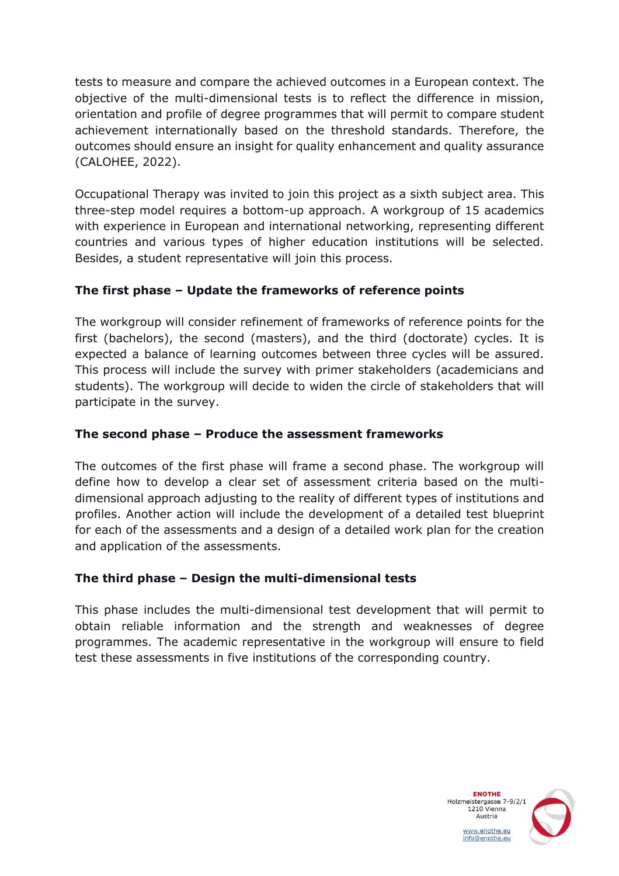tests to measure and compare the achieved outcomes in a European context. The objective of the multi-dimensional tests is to reflect the difference in mission, orientation and profile of degree programmes that will permit to compare student achievement internationally based on the threshold standards. Therefore, the outcomes should ensure an insight for quality enhancement and quality assurance (CALOHEE, 2022).

Occupational Therapy was invited to join this project as a sixth subject area. This three-step model requires a bottom-up approach. A workgroup of 15 academics with experience in European and international networking, representing different countries and various types of higher education institutions will be selected. Besides, a student representative will join this process.

#### **The first phase – Update the frameworks of reference points**

The workgroup will consider refinement of frameworks of reference points for the first (bachelors), the second (masters), and the third (doctorate) cycles. It is expected a balance of learning outcomes between three cycles will be assured. This process will include the survey with primer stakeholders (academicians and students). The workgroup will decide to widen the circle of stakeholders that will participate in the survey.

#### **The second phase – Produce the assessment frameworks**

The outcomes of the first phase will frame a second phase. The workgroup will define how to develop a clear set of assessment criteria based on the multidimensional approach adjusting to the reality of different types of institutions and profiles. Another action will include the development of a detailed test blueprint for each of the assessments and a design of a detailed work plan for the creation and application of the assessments.

#### **The third phase – Design the multi-dimensional tests**

This phase includes the multi-dimensional test development that will permit to obtain reliable information and the strength and weaknesses of degree programmes. The academic representative in the workgroup will ensure to field test these assessments in five institutions of the corresponding country.

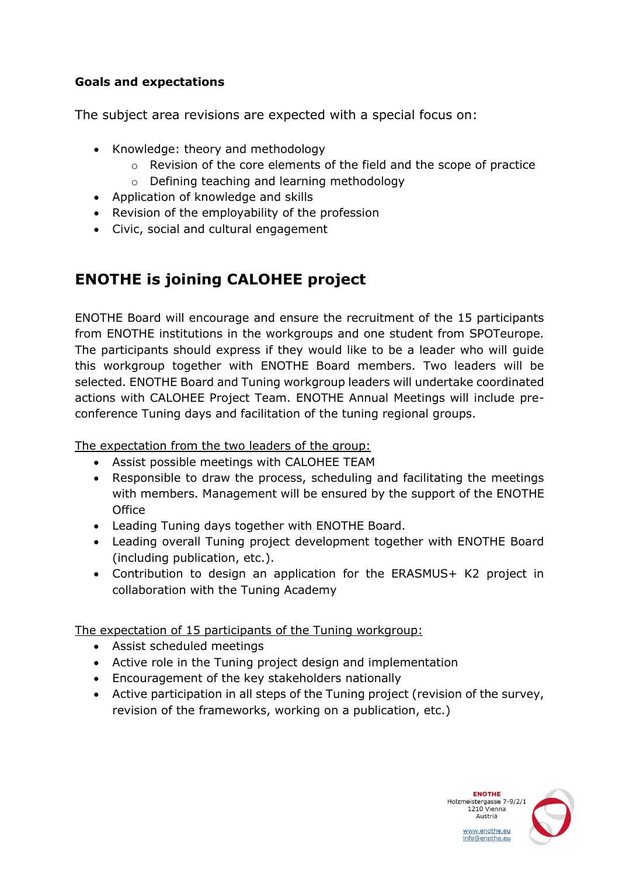#### **Goals and expectations**

The subject area revisions are expected with a special focus on:

- Knowledge: theory and methodology
	- o Revision of the core elements of the field and the scope of practice
	- o Defining teaching and learning methodology
- Application of knowledge and skills
- Revision of the employability of the profession
- Civic, social and cultural engagement

## **ENOTHE is joining CALOHEE project**

ENOTHE Board will encourage and ensure the recruitment of the 15 participants from ENOTHE institutions in the workgroups and one student from SPOTeurope. The participants should express if they would like to be a leader who will guide this workgroup together with ENOTHE Board members. Two leaders will be selected. ENOTHE Board and Tuning workgroup leaders will undertake coordinated actions with CALOHEE Project Team. ENOTHE Annual Meetings will include preconference Tuning days and facilitation of the tuning regional groups.

The expectation from the two leaders of the group:

- Assist possible meetings with CALOHEE TEAM
- Responsible to draw the process, scheduling and facilitating the meetings with members. Management will be ensured by the support of the ENOTHE **Office**
- Leading Tuning days together with ENOTHE Board.
- Leading overall Tuning project development together with ENOTHE Board (including publication, etc.).
- Contribution to design an application for the ERASMUS+ K2 project in collaboration with the Tuning Academy

The expectation of 15 participants of the Tuning workgroup:

- Assist scheduled meetings
- Active role in the Tuning project design and implementation
- Encouragement of the key stakeholders nationally
- Active participation in all steps of the Tuning project (revision of the survey, revision of the frameworks, working on a publication, etc.)

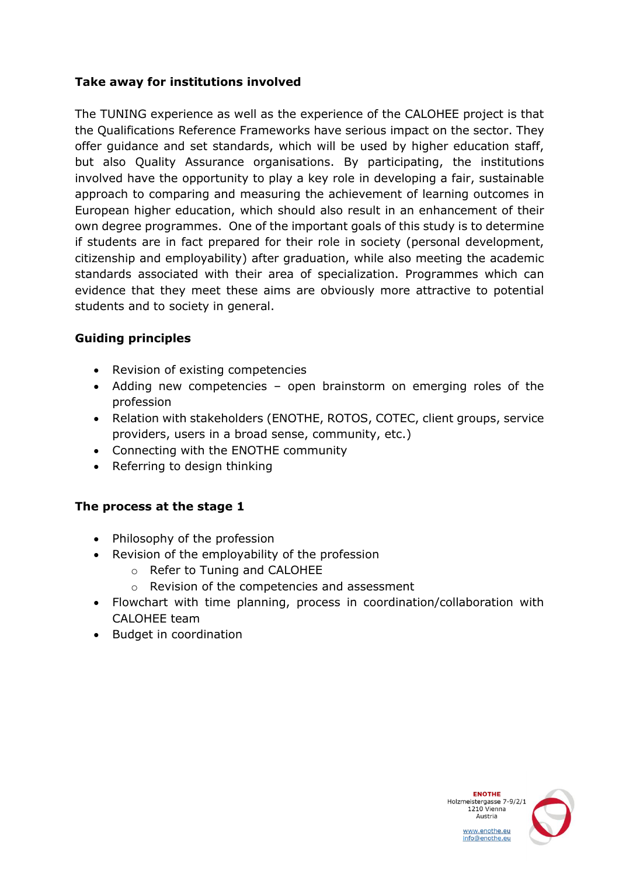#### **Take away for institutions involved**

The TUNING experience as well as the experience of the CALOHEE project is that the Qualifications Reference Frameworks have serious impact on the sector. They offer guidance and set standards, which will be used by higher education staff, but also Quality Assurance organisations. By participating, the institutions involved have the opportunity to play a key role in developing a fair, sustainable approach to comparing and measuring the achievement of learning outcomes in European higher education, which should also result in an enhancement of their own degree programmes. One of the important goals of this study is to determine if students are in fact prepared for their role in society (personal development, citizenship and employability) after graduation, while also meeting the academic standards associated with their area of specialization. Programmes which can evidence that they meet these aims are obviously more attractive to potential students and to society in general.

#### **Guiding principles**

- Revision of existing competencies
- Adding new competencies open brainstorm on emerging roles of the profession
- Relation with stakeholders (ENOTHE, ROTOS, COTEC, client groups, service providers, users in a broad sense, community, etc.)
- Connecting with the ENOTHE community
- Referring to design thinking

#### **The process at the stage 1**

- Philosophy of the profession
- Revision of the employability of the profession
	- o Refer to Tuning and CALOHEE
	- o Revision of the competencies and assessment
- Flowchart with time planning, process in coordination/collaboration with CALOHEE team
- Budget in coordination

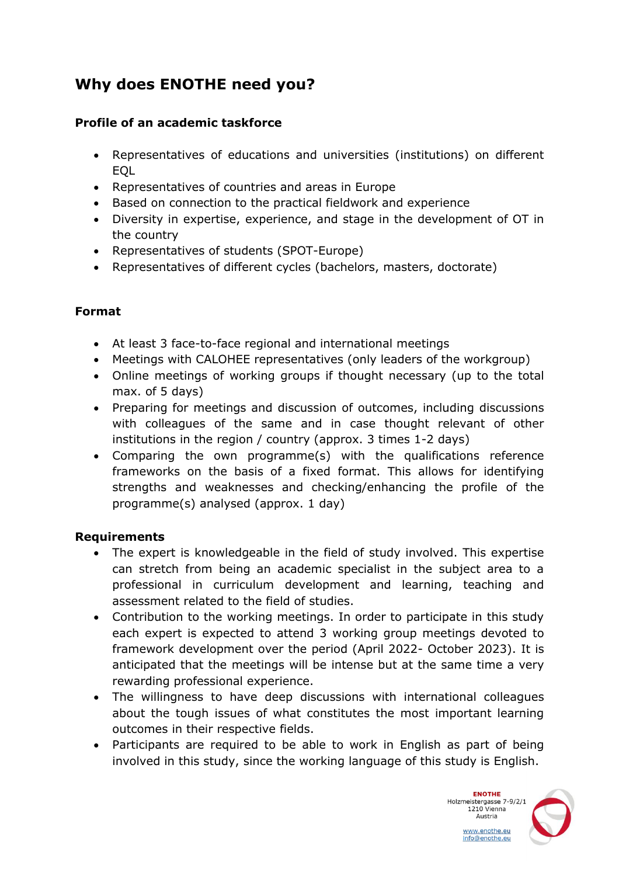### **Why does ENOTHE need you?**

#### **Profile of an academic taskforce**

- Representatives of educations and universities (institutions) on different EQL
- Representatives of countries and areas in Europe
- Based on connection to the practical fieldwork and experience
- Diversity in expertise, experience, and stage in the development of OT in the country
- Representatives of students (SPOT-Europe)
- Representatives of different cycles (bachelors, masters, doctorate)

#### **Format**

- At least 3 face-to-face regional and international meetings
- Meetings with CALOHEE representatives (only leaders of the workgroup)
- Online meetings of working groups if thought necessary (up to the total max. of 5 days)
- Preparing for meetings and discussion of outcomes, including discussions with colleagues of the same and in case thought relevant of other institutions in the region / country (approx. 3 times 1-2 days)
- Comparing the own programme(s) with the qualifications reference frameworks on the basis of a fixed format. This allows for identifying strengths and weaknesses and checking/enhancing the profile of the programme(s) analysed (approx. 1 day)

#### **Requirements**

- The expert is knowledgeable in the field of study involved. This expertise can stretch from being an academic specialist in the subject area to a professional in curriculum development and learning, teaching and assessment related to the field of studies.
- Contribution to the working meetings. In order to participate in this study each expert is expected to attend 3 working group meetings devoted to framework development over the period (April 2022- October 2023). It is anticipated that the meetings will be intense but at the same time a very rewarding professional experience.
- The willingness to have deep discussions with international colleagues about the tough issues of what constitutes the most important learning outcomes in their respective fields.
- Participants are required to be able to work in English as part of being involved in this study, since the working language of this study is English.